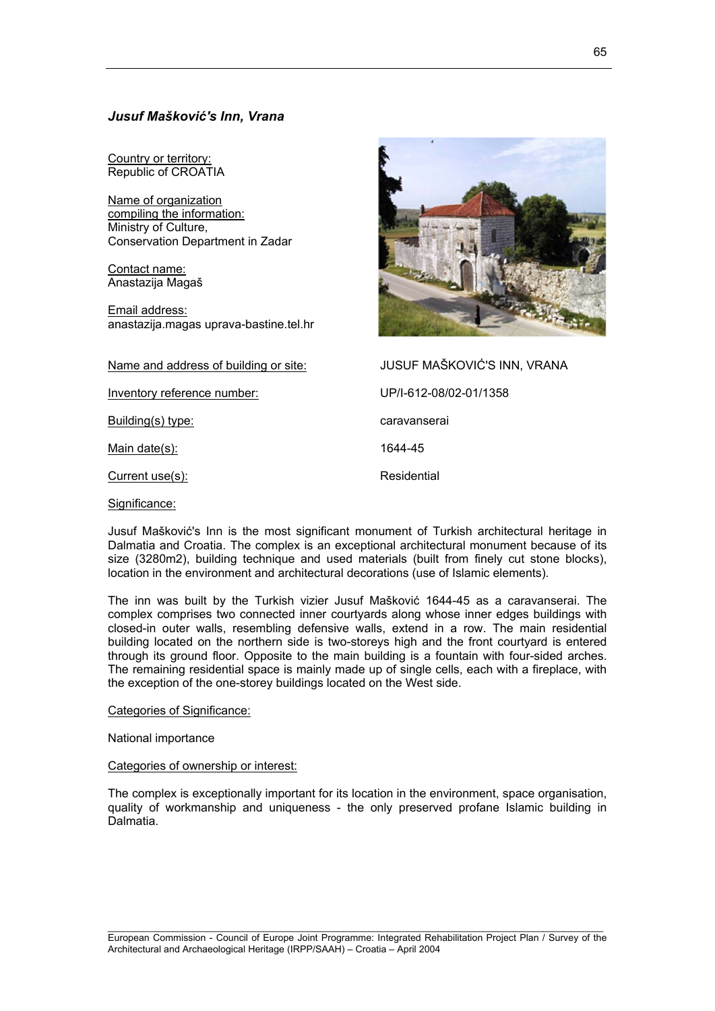# *Jusuf Mašković's Inn, Vrana*

Country or territory: Republic of CROATIA

Name of organization compiling the information: Ministry of Culture, Conservation Department in Zadar

Contact name: Anastazija Magaš

Email address: anastazija.magas uprava-bastine.tel.hr

Name and address of building or site: JUSUF MAŠKOVIĆ'S INN, VRANA

Inventory reference number: UP/I-612-08/02-01/1358

Building(s) type: caravanserai

Main date(s): 1644-45

Current use(s): Residential

Significance:

Jusuf Mašković's Inn is the most significant monument of Turkish architectural heritage in Dalmatia and Croatia. The complex is an exceptional architectural monument because of its size (3280m2), building technique and used materials (built from finely cut stone blocks), location in the environment and architectural decorations (use of Islamic elements).

The inn was built by the Turkish vizier Jusuf Mašković 1644-45 as a caravanserai. The complex comprises two connected inner courtyards along whose inner edges buildings with closed-in outer walls, resembling defensive walls, extend in a row. The main residential building located on the northern side is two-storeys high and the front courtyard is entered through its ground floor. Opposite to the main building is a fountain with four-sided arches. The remaining residential space is mainly made up of single cells, each with a fireplace, with the exception of the one-storey buildings located on the West side.

# Categories of Significance:

National importance

#### Categories of ownership or interest:

The complex is exceptionally important for its location in the environment, space organisation, quality of workmanship and uniqueness - the only preserved profane Islamic building in Dalmatia.

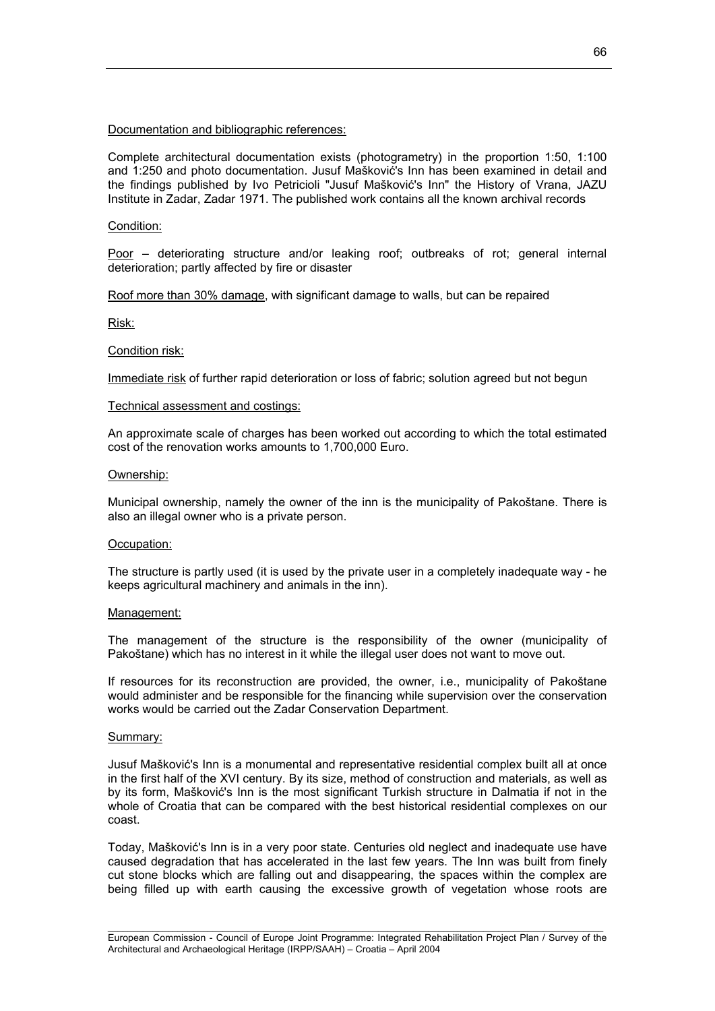# Documentation and bibliographic references:

Complete architectural documentation exists (photogrametry) in the proportion 1:50, 1:100 and 1:250 and photo documentation. Jusuf Mašković's Inn has been examined in detail and the findings published by Ivo Petricioli "Jusuf Mašković's Inn" the History of Vrana, JAZU Institute in Zadar, Zadar 1971. The published work contains all the known archival records

### Condition:

Poor – deteriorating structure and/or leaking roof; outbreaks of rot; general internal deterioration; partly affected by fire or disaster

Roof more than 30% damage, with significant damage to walls, but can be repaired

Risk:

#### Condition risk:

Immediate risk of further rapid deterioration or loss of fabric; solution agreed but not begun

#### Technical assessment and costings:

An approximate scale of charges has been worked out according to which the total estimated cost of the renovation works amounts to 1,700,000 Euro.

### Ownership:

Municipal ownership, namely the owner of the inn is the municipality of Pakoštane. There is also an illegal owner who is a private person.

#### Occupation:

The structure is partly used (it is used by the private user in a completely inadequate way - he keeps agricultural machinery and animals in the inn).

#### Management:

The management of the structure is the responsibility of the owner (municipality of Pakoštane) which has no interest in it while the illegal user does not want to move out.

If resources for its reconstruction are provided, the owner, i.e., municipality of Pakoštane would administer and be responsible for the financing while supervision over the conservation works would be carried out the Zadar Conservation Department.

## Summary:

Jusuf Mašković's Inn is a monumental and representative residential complex built all at once in the first half of the XVI century. By its size, method of construction and materials, as well as by its form, Mašković's Inn is the most significant Turkish structure in Dalmatia if not in the whole of Croatia that can be compared with the best historical residential complexes on our coast.

Today, Mašković's Inn is in a very poor state. Centuries old neglect and inadequate use have caused degradation that has accelerated in the last few years. The Inn was built from finely cut stone blocks which are falling out and disappearing, the spaces within the complex are being filled up with earth causing the excessive growth of vegetation whose roots are